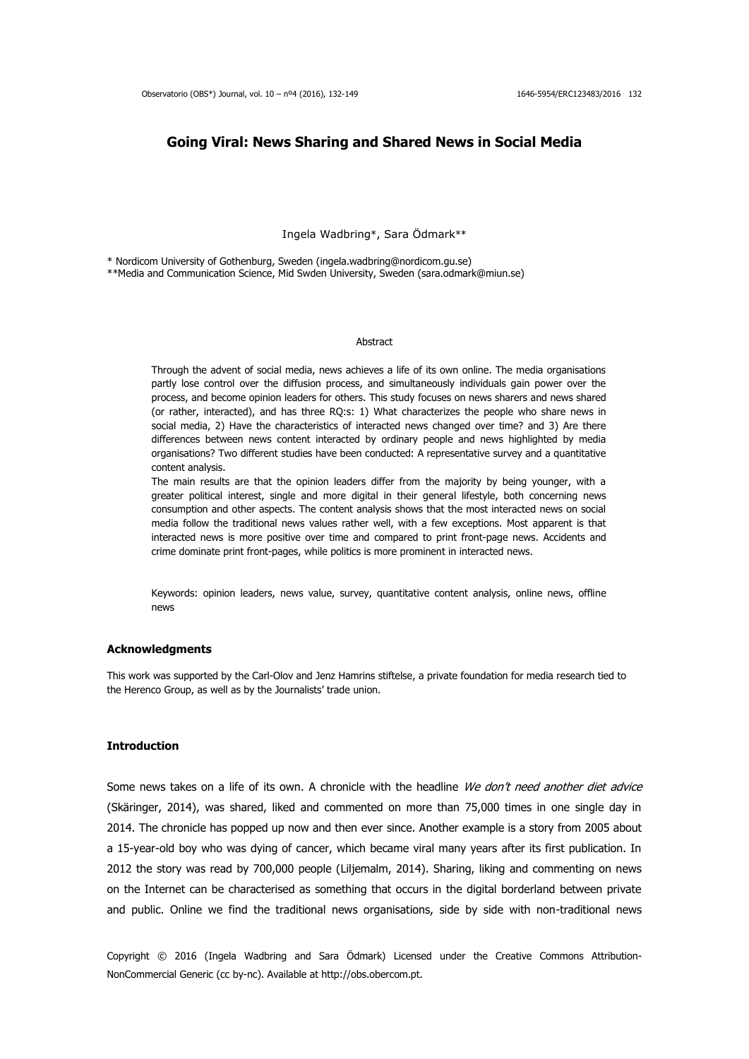## **Going Viral: News Sharing and Shared News in Social Media**

Ingela Wadbring\*, Sara Ödmark\*\*

\* Nordicom University of Gothenburg, Sweden (ingela.wadbring@nordicom.gu.se)

\*\*Media and Communication Science, Mid Swden University, Sweden (sara.odmark@miun.se)

#### **Abstract**

Through the advent of social media, news achieves a life of its own online. The media organisations partly lose control over the diffusion process, and simultaneously individuals gain power over the process, and become opinion leaders for others. This study focuses on news sharers and news shared (or rather, interacted), and has three RQ:s: 1) What characterizes the people who share news in social media, 2) Have the characteristics of interacted news changed over time? and 3) Are there differences between news content interacted by ordinary people and news highlighted by media organisations? Two different studies have been conducted: A representative survey and a quantitative content analysis.

The main results are that the opinion leaders differ from the majority by being younger, with a greater political interest, single and more digital in their general lifestyle, both concerning news consumption and other aspects. The content analysis shows that the most interacted news on social media follow the traditional news values rather well, with a few exceptions. Most apparent is that interacted news is more positive over time and compared to print front-page news. Accidents and crime dominate print front-pages, while politics is more prominent in interacted news.

Keywords: opinion leaders, news value, survey, quantitative content analysis, online news, offline news

#### **Acknowledgments**

This work was supported by the Carl-Olov and Jenz Hamrins stiftelse, a private foundation for media research tied to the Herenco Group, as well as by the Journalists' trade union.

#### **Introduction**

Some news takes on a life of its own. A chronicle with the headline We don't need another diet advice (Skäringer, 2014), was shared, liked and commented on more than 75,000 times in one single day in 2014. The chronicle has popped up now and then ever since. Another example is a story from 2005 about a 15-year-old boy who was dying of cancer, which became viral many years after its first publication. In 2012 the story was read by 700,000 people (Liljemalm, 2014). Sharing, liking and commenting on news on the Internet can be characterised as something that occurs in the digital borderland between private and public. Online we find the traditional news organisations, side by side with non-traditional news

Copyright © 2016 (Ingela Wadbring and Sara Ödmark) Licensed under the Creative Commons Attribution-NonCommercial Generic (cc by-nc). Available at http://obs.obercom.pt.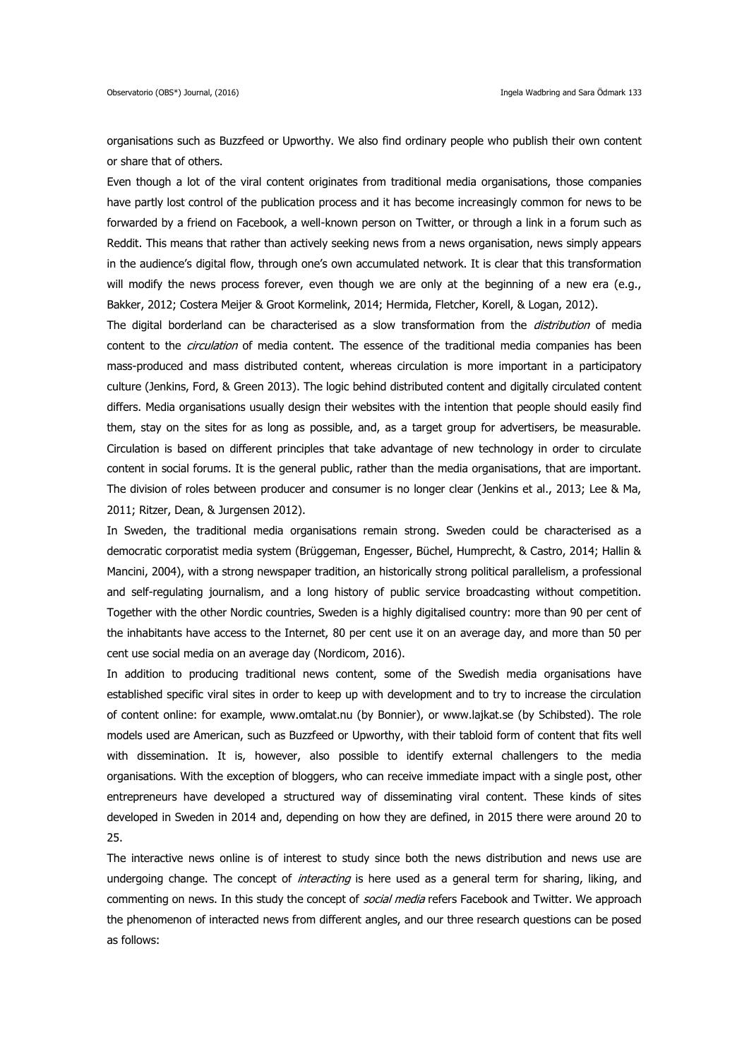organisations such as Buzzfeed or Upworthy. We also find ordinary people who publish their own content or share that of others.

Even though a lot of the viral content originates from traditional media organisations, those companies have partly lost control of the publication process and it has become increasingly common for news to be forwarded by a friend on Facebook, a well-known person on Twitter, or through a link in a forum such as Reddit. This means that rather than actively seeking news from a news organisation, news simply appears in the audience's digital flow, through one's own accumulated network. It is clear that this transformation will modify the news process forever, even though we are only at the beginning of a new era (e.g., Bakker, 2012; Costera Meijer & Groot Kormelink, 2014; Hermida, Fletcher, Korell, & Logan, 2012).

The digital borderland can be characterised as a slow transformation from the *distribution* of media content to the *circulation* of media content. The essence of the traditional media companies has been mass-produced and mass distributed content, whereas circulation is more important in a participatory culture (Jenkins, Ford, & Green 2013). The logic behind distributed content and digitally circulated content differs. Media organisations usually design their websites with the intention that people should easily find them, stay on the sites for as long as possible, and, as a target group for advertisers, be measurable. Circulation is based on different principles that take advantage of new technology in order to circulate content in social forums. It is the general public, rather than the media organisations, that are important. The division of roles between producer and consumer is no longer clear (Jenkins et al., 2013; Lee & Ma, 2011; Ritzer, Dean, & Jurgensen 2012).

In Sweden, the traditional media organisations remain strong. Sweden could be characterised as a democratic corporatist media system (Brüggeman, Engesser, Büchel, Humprecht, & Castro, 2014; Hallin & Mancini, 2004), with a strong newspaper tradition, an historically strong political parallelism, a professional and self-regulating journalism, and a long history of public service broadcasting without competition. Together with the other Nordic countries, Sweden is a highly digitalised country: more than 90 per cent of the inhabitants have access to the Internet, 80 per cent use it on an average day, and more than 50 per cent use social media on an average day (Nordicom, 2016).

In addition to producing traditional news content, some of the Swedish media organisations have established specific viral sites in order to keep up with development and to try to increase the circulation of content online: for example, www.omtalat.nu (by Bonnier), or www.lajkat.se (by Schibsted). The role models used are American, such as Buzzfeed or Upworthy, with their tabloid form of content that fits well with dissemination. It is, however, also possible to identify external challengers to the media organisations. With the exception of bloggers, who can receive immediate impact with a single post, other entrepreneurs have developed a structured way of disseminating viral content. These kinds of sites developed in Sweden in 2014 and, depending on how they are defined, in 2015 there were around 20 to 25.

The interactive news online is of interest to study since both the news distribution and news use are undergoing change. The concept of *interacting* is here used as a general term for sharing, liking, and commenting on news. In this study the concept of *social media* refers Facebook and Twitter. We approach the phenomenon of interacted news from different angles, and our three research questions can be posed as follows: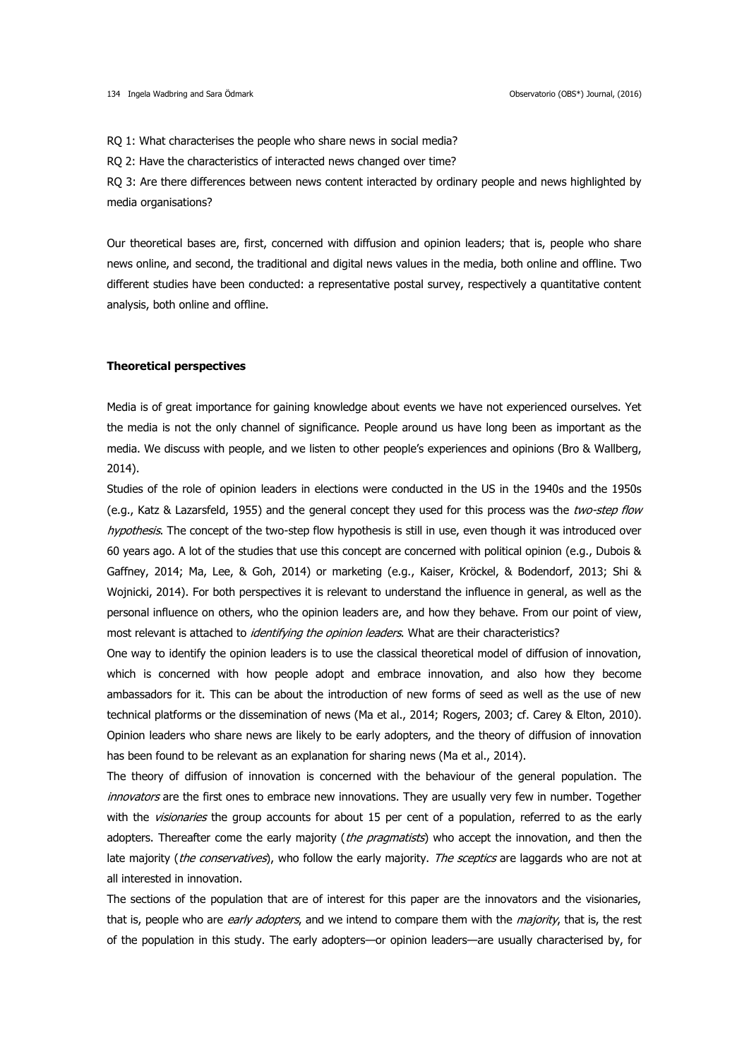RQ 1: What characterises the people who share news in social media?

RQ 2: Have the characteristics of interacted news changed over time?

RQ 3: Are there differences between news content interacted by ordinary people and news highlighted by media organisations?

Our theoretical bases are, first, concerned with diffusion and opinion leaders; that is, people who share news online, and second, the traditional and digital news values in the media, both online and offline. Two different studies have been conducted: a representative postal survey, respectively a quantitative content analysis, both online and offline.

#### **Theoretical perspectives**

Media is of great importance for gaining knowledge about events we have not experienced ourselves. Yet the media is not the only channel of significance. People around us have long been as important as the media. We discuss with people, and we listen to other people's experiences and opinions (Bro & Wallberg, 2014).

Studies of the role of opinion leaders in elections were conducted in the US in the 1940s and the 1950s (e.g., Katz & Lazarsfeld, 1955) and the general concept they used for this process was the two-step flow hypothesis. The concept of the two-step flow hypothesis is still in use, even though it was introduced over 60 years ago. A lot of the studies that use this concept are concerned with political opinion (e.g., Dubois & Gaffney, 2014; Ma, Lee, & Goh, 2014) or marketing (e.g., Kaiser, Kröckel, & Bodendorf, 2013; Shi & Wojnicki, 2014). For both perspectives it is relevant to understand the influence in general, as well as the personal influence on others, who the opinion leaders are, and how they behave. From our point of view, most relevant is attached to *identifying the opinion leaders*. What are their characteristics?

One way to identify the opinion leaders is to use the classical theoretical model of diffusion of innovation, which is concerned with how people adopt and embrace innovation, and also how they become ambassadors for it. This can be about the introduction of new forms of seed as well as the use of new technical platforms or the dissemination of news (Ma et al., 2014; Rogers, 2003; cf. Carey & Elton, 2010). Opinion leaders who share news are likely to be early adopters, and the theory of diffusion of innovation has been found to be relevant as an explanation for sharing news (Ma et al., 2014).

The theory of diffusion of innovation is concerned with the behaviour of the general population. The innovators are the first ones to embrace new innovations. They are usually very few in number. Together with the *visionaries* the group accounts for about 15 per cent of a population, referred to as the early adopters. Thereafter come the early majority (the pragmatists) who accept the innovation, and then the late majority (the conservatives), who follow the early majority. The sceptics are laggards who are not at all interested in innovation.

The sections of the population that are of interest for this paper are the innovators and the visionaries, that is, people who are early adopters, and we intend to compare them with the majority, that is, the rest of the population in this study. The early adopters—or opinion leaders—are usually characterised by, for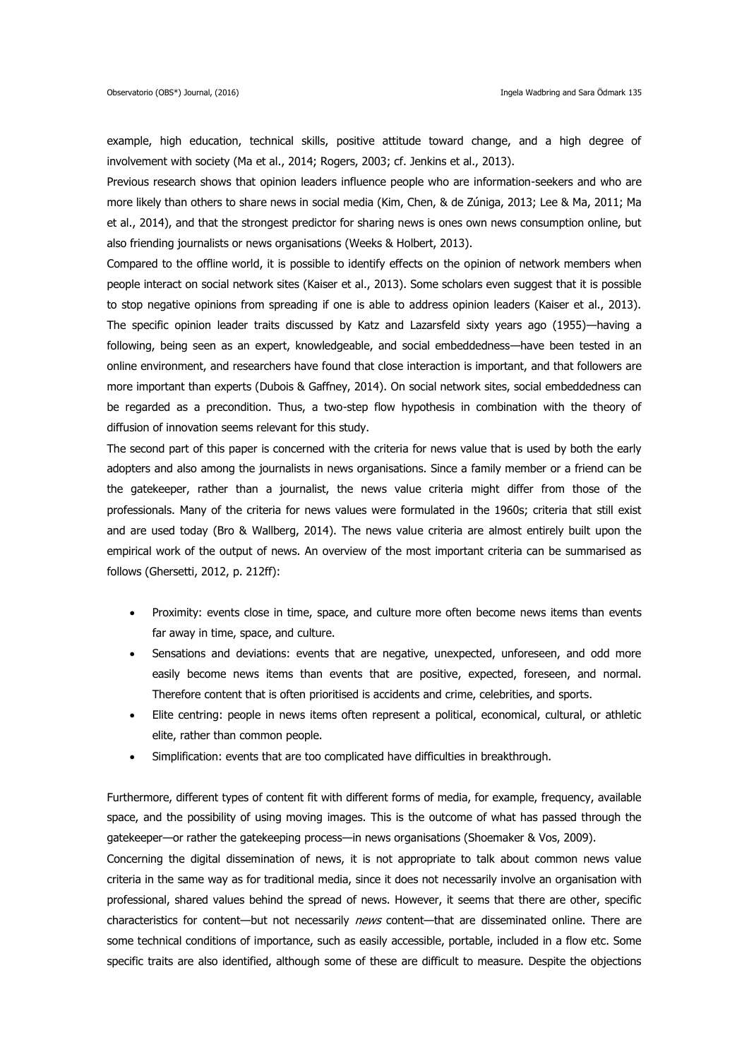example, high education, technical skills, positive attitude toward change, and a high degree of involvement with society (Ma et al., 2014; Rogers, 2003; cf. Jenkins et al., 2013).

Previous research shows that opinion leaders influence people who are information-seekers and who are more likely than others to share news in social media (Kim, Chen, & de Zúniga, 2013; Lee & Ma, 2011; Ma et al., 2014), and that the strongest predictor for sharing news is ones own news consumption online, but also friending journalists or news organisations (Weeks & Holbert, 2013).

Compared to the offline world, it is possible to identify effects on the opinion of network members when people interact on social network sites (Kaiser et al., 2013). Some scholars even suggest that it is possible to stop negative opinions from spreading if one is able to address opinion leaders (Kaiser et al., 2013). The specific opinion leader traits discussed by Katz and Lazarsfeld sixty years ago (1955)—having a following, being seen as an expert, knowledgeable, and social embeddedness—have been tested in an online environment, and researchers have found that close interaction is important, and that followers are more important than experts (Dubois & Gaffney, 2014). On social network sites, social embeddedness can be regarded as a precondition. Thus, a two-step flow hypothesis in combination with the theory of diffusion of innovation seems relevant for this study.

The second part of this paper is concerned with the criteria for news value that is used by both the early adopters and also among the journalists in news organisations. Since a family member or a friend can be the gatekeeper, rather than a journalist, the news value criteria might differ from those of the professionals. Many of the criteria for news values were formulated in the 1960s; criteria that still exist and are used today (Bro & Wallberg, 2014). The news value criteria are almost entirely built upon the empirical work of the output of news. An overview of the most important criteria can be summarised as follows (Ghersetti, 2012, p. 212ff):

- Proximity: events close in time, space, and culture more often become news items than events far away in time, space, and culture.
- Sensations and deviations: events that are negative, unexpected, unforeseen, and odd more easily become news items than events that are positive, expected, foreseen, and normal. Therefore content that is often prioritised is accidents and crime, celebrities, and sports.
- Elite centring: people in news items often represent a political, economical, cultural, or athletic elite, rather than common people.
- Simplification: events that are too complicated have difficulties in breakthrough.

Furthermore, different types of content fit with different forms of media, for example, frequency, available space, and the possibility of using moving images. This is the outcome of what has passed through the gatekeeper—or rather the gatekeeping process—in news organisations (Shoemaker & Vos, 2009).

Concerning the digital dissemination of news, it is not appropriate to talk about common news value criteria in the same way as for traditional media, since it does not necessarily involve an organisation with professional, shared values behind the spread of news. However, it seems that there are other, specific characteristics for content—but not necessarily news content—that are disseminated online. There are some technical conditions of importance, such as easily accessible, portable, included in a flow etc. Some specific traits are also identified, although some of these are difficult to measure. Despite the objections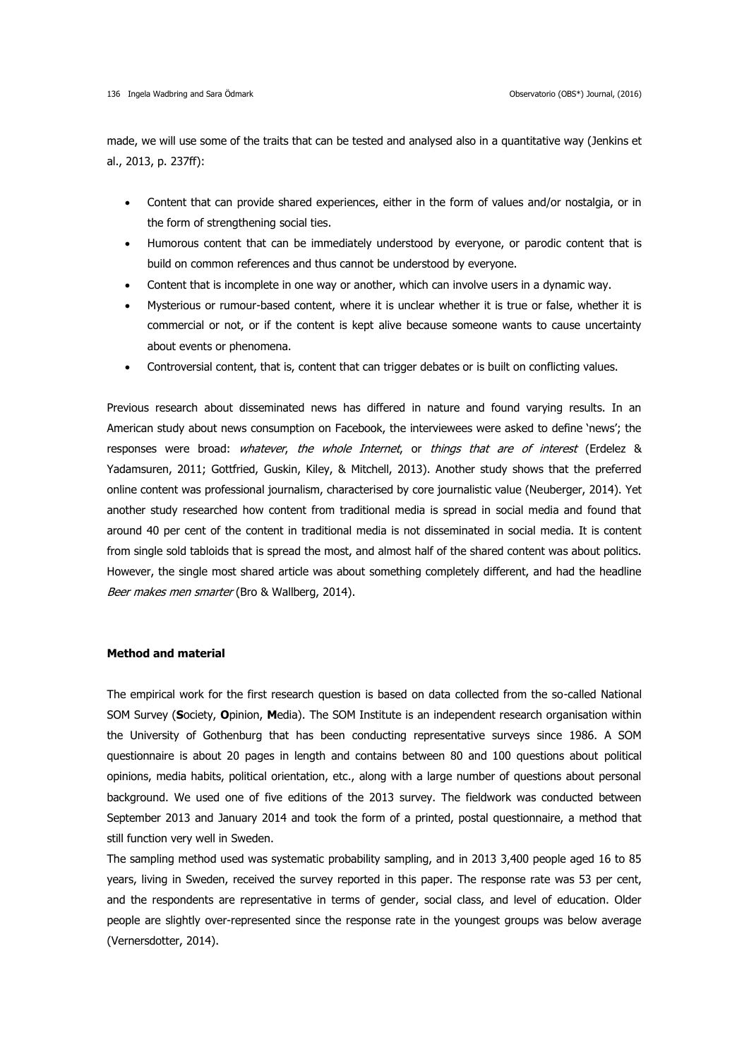made, we will use some of the traits that can be tested and analysed also in a quantitative way (Jenkins et al., 2013, p. 237ff):

- Content that can provide shared experiences, either in the form of values and/or nostalgia, or in the form of strengthening social ties.
- Humorous content that can be immediately understood by everyone, or parodic content that is build on common references and thus cannot be understood by everyone.
- Content that is incomplete in one way or another, which can involve users in a dynamic way.
- Mysterious or rumour-based content, where it is unclear whether it is true or false, whether it is commercial or not, or if the content is kept alive because someone wants to cause uncertainty about events or phenomena.
- Controversial content, that is, content that can trigger debates or is built on conflicting values.

Previous research about disseminated news has differed in nature and found varying results. In an American study about news consumption on Facebook, the interviewees were asked to define 'news'; the responses were broad: *whatever, the whole Internet*, or *things that are of interest* (Erdelez & Yadamsuren, 2011; Gottfried, Guskin, Kiley, & Mitchell, 2013). Another study shows that the preferred online content was professional journalism, characterised by core journalistic value (Neuberger, 2014). Yet another study researched how content from traditional media is spread in social media and found that around 40 per cent of the content in traditional media is not disseminated in social media. It is content from single sold tabloids that is spread the most, and almost half of the shared content was about politics. However, the single most shared article was about something completely different, and had the headline Beer makes men smarter (Bro & Wallberg, 2014).

## **Method and material**

The empirical work for the first research question is based on data collected from the so-called National SOM Survey (**S**ociety, **O**pinion, **M**edia). The SOM Institute is an independent research organisation within the University of Gothenburg that has been conducting representative surveys since 1986. A SOM questionnaire is about 20 pages in length and contains between 80 and 100 questions about political opinions, media habits, political orientation, etc., along with a large number of questions about personal background. We used one of five editions of the 2013 survey. The fieldwork was conducted between September 2013 and January 2014 and took the form of a printed, postal questionnaire, a method that still function very well in Sweden.

The sampling method used was systematic probability sampling, and in 2013 3,400 people aged 16 to 85 years, living in Sweden, received the survey reported in this paper. The response rate was 53 per cent, and the respondents are representative in terms of gender, social class, and level of education. Older people are slightly over-represented since the response rate in the youngest groups was below average (Vernersdotter, 2014).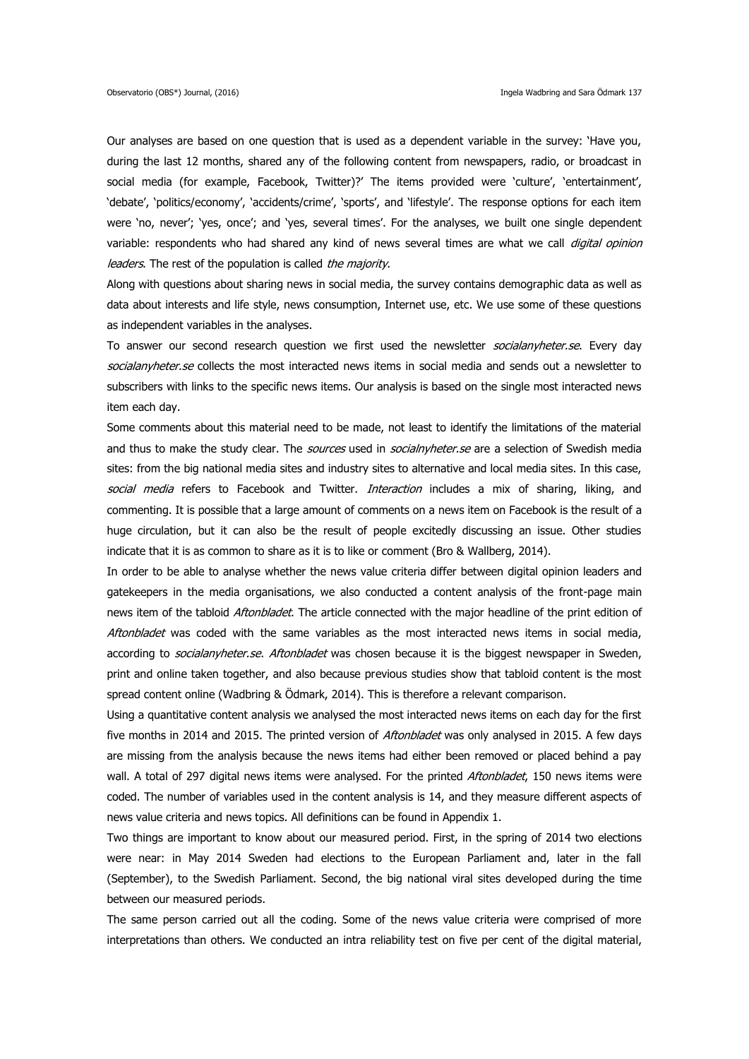Our analyses are based on one question that is used as a dependent variable in the survey: 'Have you, during the last 12 months, shared any of the following content from newspapers, radio, or broadcast in social media (for example, Facebook, Twitter)?' The items provided were 'culture', 'entertainment', 'debate', 'politics/economy', 'accidents/crime', 'sports', and 'lifestyle'. The response options for each item were 'no, never'; 'yes, once'; and 'yes, several times'. For the analyses, we built one single dependent variable: respondents who had shared any kind of news several times are what we call digital opinion leaders. The rest of the population is called the majority.

Along with questions about sharing news in social media, the survey contains demographic data as well as data about interests and life style, news consumption, Internet use, etc. We use some of these questions as independent variables in the analyses.

To answer our second research question we first used the newsletter *socialanyheter.se*. Every day socialanyheter.se collects the most interacted news items in social media and sends out a newsletter to subscribers with links to the specific news items. Our analysis is based on the single most interacted news item each day.

Some comments about this material need to be made, not least to identify the limitations of the material and thus to make the study clear. The *sources* used in *socialnyheter.se* are a selection of Swedish media sites: from the big national media sites and industry sites to alternative and local media sites. In this case, social media refers to Facebook and Twitter. *Interaction* includes a mix of sharing, liking, and commenting. It is possible that a large amount of comments on a news item on Facebook is the result of a huge circulation, but it can also be the result of people excitedly discussing an issue. Other studies indicate that it is as common to share as it is to like or comment (Bro & Wallberg, 2014).

In order to be able to analyse whether the news value criteria differ between digital opinion leaders and gatekeepers in the media organisations, we also conducted a content analysis of the front-page main news item of the tabloid Aftonbladet. The article connected with the major headline of the print edition of Aftonbladet was coded with the same variables as the most interacted news items in social media, according to *socialanyheter.se. Aftonbladet* was chosen because it is the biggest newspaper in Sweden, print and online taken together, and also because previous studies show that tabloid content is the most spread content online (Wadbring & Ödmark, 2014). This is therefore a relevant comparison.

Using a quantitative content analysis we analysed the most interacted news items on each day for the first five months in 2014 and 2015. The printed version of *Aftonbladet* was only analysed in 2015. A few days are missing from the analysis because the news items had either been removed or placed behind a pay wall. A total of 297 digital news items were analysed. For the printed Aftonbladet, 150 news items were coded. The number of variables used in the content analysis is 14, and they measure different aspects of news value criteria and news topics. All definitions can be found in Appendix 1.

Two things are important to know about our measured period. First, in the spring of 2014 two elections were near: in May 2014 Sweden had elections to the European Parliament and, later in the fall (September), to the Swedish Parliament. Second, the big national viral sites developed during the time between our measured periods.

The same person carried out all the coding. Some of the news value criteria were comprised of more interpretations than others. We conducted an intra reliability test on five per cent of the digital material,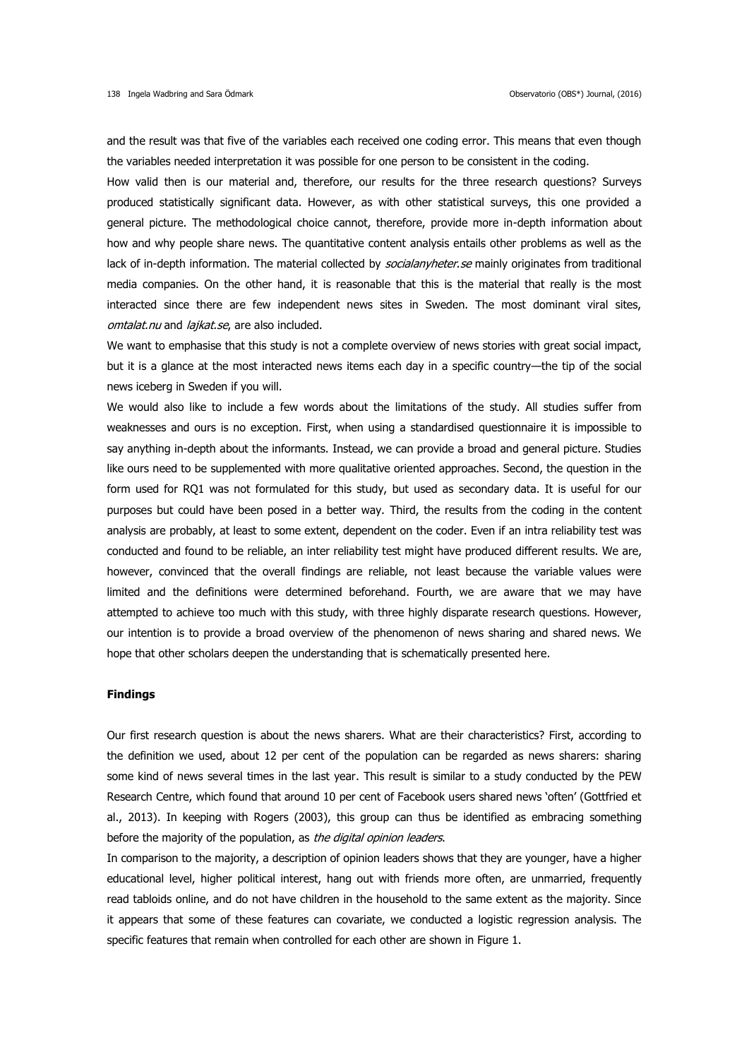and the result was that five of the variables each received one coding error. This means that even though the variables needed interpretation it was possible for one person to be consistent in the coding.

How valid then is our material and, therefore, our results for the three research questions? Surveys produced statistically significant data. However, as with other statistical surveys, this one provided a general picture. The methodological choice cannot, therefore, provide more in-depth information about how and why people share news. The quantitative content analysis entails other problems as well as the lack of in-depth information. The material collected by socialanyheter.se mainly originates from traditional media companies. On the other hand, it is reasonable that this is the material that really is the most interacted since there are few independent news sites in Sweden. The most dominant viral sites, omtalat.nu and laikat.se, are also included.

We want to emphasise that this study is not a complete overview of news stories with great social impact, but it is a glance at the most interacted news items each day in a specific country—the tip of the social news iceberg in Sweden if you will.

We would also like to include a few words about the limitations of the study. All studies suffer from weaknesses and ours is no exception. First, when using a standardised questionnaire it is impossible to say anything in-depth about the informants. Instead, we can provide a broad and general picture. Studies like ours need to be supplemented with more qualitative oriented approaches. Second, the question in the form used for RQ1 was not formulated for this study, but used as secondary data. It is useful for our purposes but could have been posed in a better way. Third, the results from the coding in the content analysis are probably, at least to some extent, dependent on the coder. Even if an intra reliability test was conducted and found to be reliable, an inter reliability test might have produced different results. We are, however, convinced that the overall findings are reliable, not least because the variable values were limited and the definitions were determined beforehand. Fourth, we are aware that we may have attempted to achieve too much with this study, with three highly disparate research questions. However, our intention is to provide a broad overview of the phenomenon of news sharing and shared news. We hope that other scholars deepen the understanding that is schematically presented here.

#### **Findings**

Our first research question is about the news sharers. What are their characteristics? First, according to the definition we used, about 12 per cent of the population can be regarded as news sharers: sharing some kind of news several times in the last year. This result is similar to a study conducted by the PEW Research Centre, which found that around 10 per cent of Facebook users shared news 'often' (Gottfried et al., 2013). In keeping with Rogers (2003), this group can thus be identified as embracing something before the majority of the population, as the digital opinion leaders.

In comparison to the majority, a description of opinion leaders shows that they are younger, have a higher educational level, higher political interest, hang out with friends more often, are unmarried, frequently read tabloids online, and do not have children in the household to the same extent as the majority. Since it appears that some of these features can covariate, we conducted a logistic regression analysis. The specific features that remain when controlled for each other are shown in Figure 1.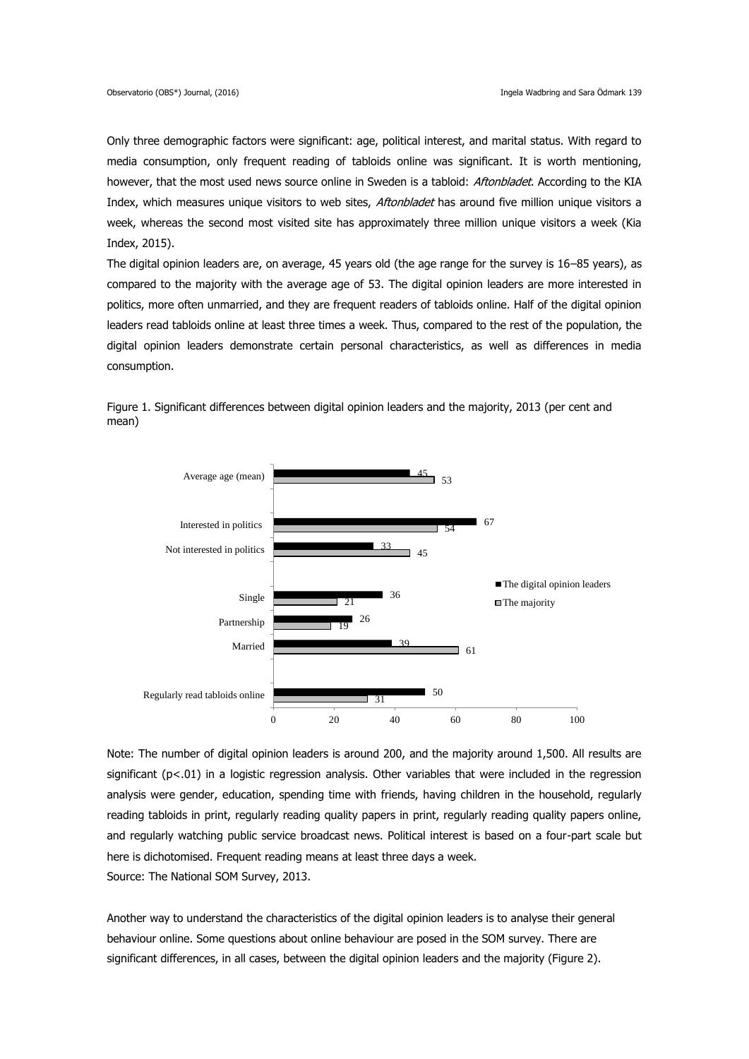Only three demographic factors were significant: age, political interest, and marital status. With regard to media consumption, only frequent reading of tabloids online was significant. It is worth mentioning, however, that the most used news source online in Sweden is a tabloid: Aftonbladet. According to the KIA Index, which measures unique visitors to web sites, Aftonbladet has around five million unique visitors a week, whereas the second most visited site has approximately three million unique visitors a week (Kia Index, 2015).

The digital opinion leaders are, on average, 45 years old (the age range for the survey is 16–85 years), as compared to the majority with the average age of 53. The digital opinion leaders are more interested in politics, more often unmarried, and they are frequent readers of tabloids online. Half of the digital opinion leaders read tabloids online at least three times a week. Thus, compared to the rest of the population, the digital opinion leaders demonstrate certain personal characteristics, as well as differences in media consumption.



Figure 1. Significant differences between digital opinion leaders and the majority, 2013 (per cent and mean)

Note: The number of digital opinion leaders is around 200, and the majority around 1,500. All results are significant (p<.01) in a logistic regression analysis. Other variables that were included in the regression analysis were gender, education, spending time with friends, having children in the household, regularly reading tabloids in print, regularly reading quality papers in print, regularly reading quality papers online, and regularly watching public service broadcast news. Political interest is based on a four-part scale but here is dichotomised. Frequent reading means at least three days a week. Source: The National SOM Survey, 2013.

Another way to understand the characteristics of the digital opinion leaders is to analyse their general behaviour online. Some questions about online behaviour are posed in the SOM survey. There are significant differences, in all cases, between the digital opinion leaders and the majority (Figure 2).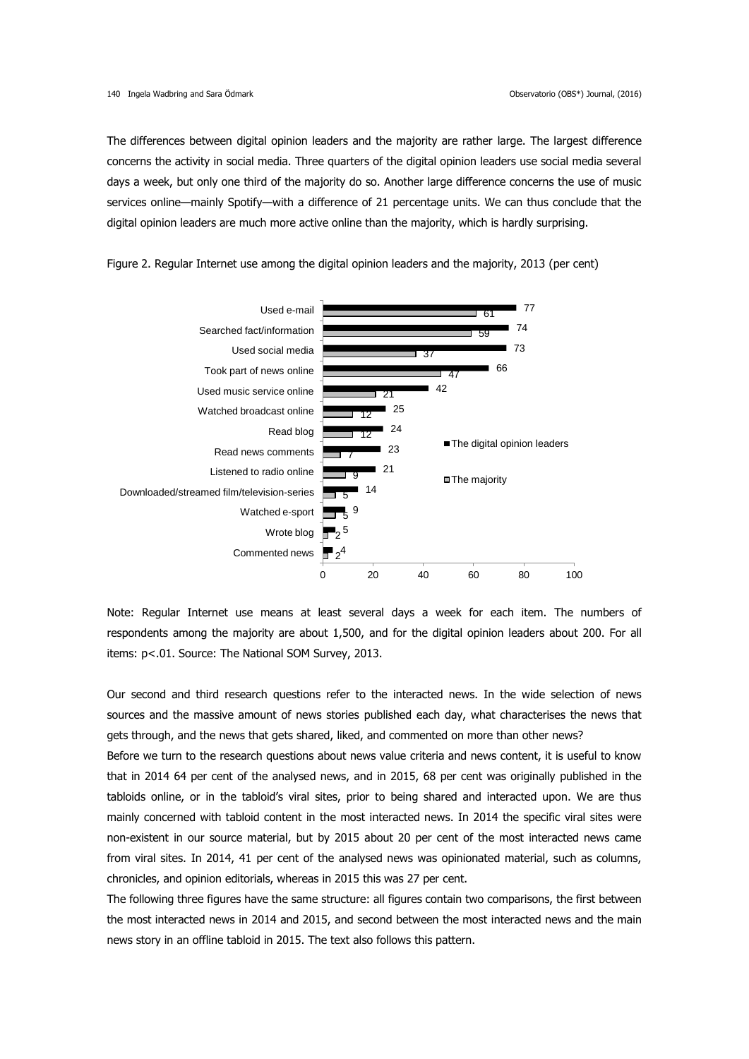The differences between digital opinion leaders and the majority are rather large. The largest difference concerns the activity in social media. Three quarters of the digital opinion leaders use social media several days a week, but only one third of the majority do so. Another large difference concerns the use of music services online—mainly Spotify—with a difference of 21 percentage units. We can thus conclude that the digital opinion leaders are much more active online than the majority, which is hardly surprising.



Figure 2. Regular Internet use among the digital opinion leaders and the majority, 2013 (per cent)

Note: Regular Internet use means at least several days a week for each item. The numbers of respondents among the majority are about 1,500, and for the digital opinion leaders about 200. For all items: p<.01. Source: The National SOM Survey, 2013.

Our second and third research questions refer to the interacted news. In the wide selection of news sources and the massive amount of news stories published each day, what characterises the news that gets through, and the news that gets shared, liked, and commented on more than other news?

Before we turn to the research questions about news value criteria and news content, it is useful to know that in 2014 64 per cent of the analysed news, and in 2015, 68 per cent was originally published in the tabloids online, or in the tabloid's viral sites, prior to being shared and interacted upon. We are thus mainly concerned with tabloid content in the most interacted news. In 2014 the specific viral sites were non-existent in our source material, but by 2015 about 20 per cent of the most interacted news came from viral sites. In 2014, 41 per cent of the analysed news was opinionated material, such as columns, chronicles, and opinion editorials, whereas in 2015 this was 27 per cent.

The following three figures have the same structure: all figures contain two comparisons, the first between the most interacted news in 2014 and 2015, and second between the most interacted news and the main news story in an offline tabloid in 2015. The text also follows this pattern.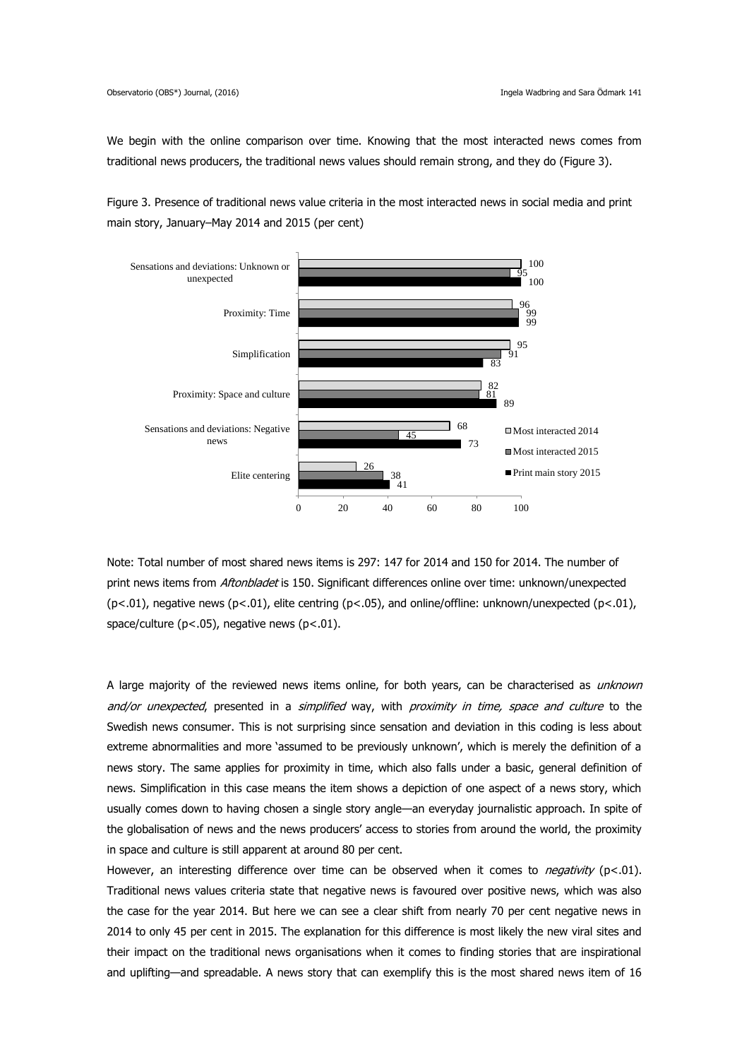We begin with the online comparison over time. Knowing that the most interacted news comes from traditional news producers, the traditional news values should remain strong, and they do (Figure 3).

Figure 3. Presence of traditional news value criteria in the most interacted news in social media and print main story, January–May 2014 and 2015 (per cent)



Note: Total number of most shared news items is 297: 147 for 2014 and 150 for 2014. The number of print news items from Aftonbladet is 150. Significant differences online over time: unknown/unexpected (p<.01), negative news (p<.01), elite centring (p<.05), and online/offline: unknown/unexpected (p<.01), space/culture (p<.05), negative news (p<.01).

A large majority of the reviewed news items online, for both years, can be characterised as *unknown* and/or unexpected, presented in a simplified way, with proximity in time, space and culture to the Swedish news consumer. This is not surprising since sensation and deviation in this coding is less about extreme abnormalities and more 'assumed to be previously unknown', which is merely the definition of a news story. The same applies for proximity in time, which also falls under a basic, general definition of news. Simplification in this case means the item shows a depiction of one aspect of a news story, which usually comes down to having chosen a single story angle—an everyday journalistic approach. In spite of the globalisation of news and the news producers' access to stories from around the world, the proximity in space and culture is still apparent at around 80 per cent.

However, an interesting difference over time can be observed when it comes to *negativity* ( $p$ <.01). Traditional news values criteria state that negative news is favoured over positive news, which was also the case for the year 2014. But here we can see a clear shift from nearly 70 per cent negative news in 2014 to only 45 per cent in 2015. The explanation for this difference is most likely the new viral sites and their impact on the traditional news organisations when it comes to finding stories that are inspirational and uplifting—and spreadable. A news story that can exemplify this is the most shared news item of 16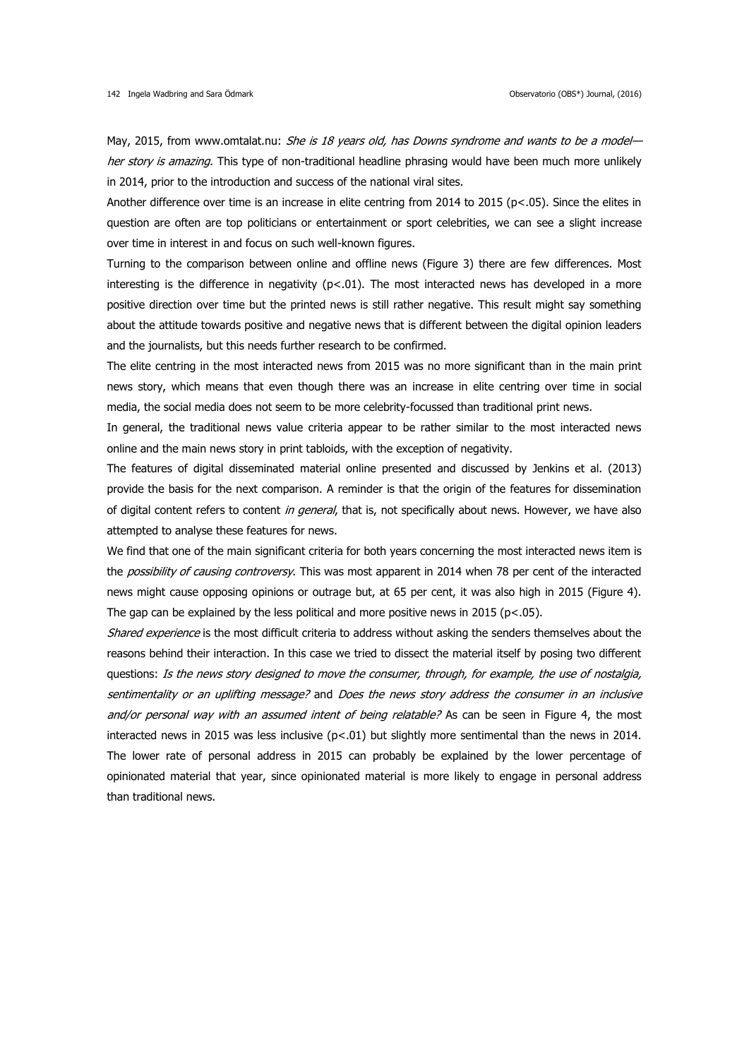May, 2015, from www.omtalat.nu: She is 18 years old, has Downs syndrome and wants to be a model her story is amazing. This type of non-traditional headline phrasing would have been much more unlikely in 2014, prior to the introduction and success of the national viral sites.

Another difference over time is an increase in elite centring from 2014 to 2015 (p<.05). Since the elites in question are often are top politicians or entertainment or sport celebrities, we can see a slight increase over time in interest in and focus on such well-known figures.

Turning to the comparison between online and offline news (Figure 3) there are few differences. Most interesting is the difference in negativity ( $p<0.01$ ). The most interacted news has developed in a more positive direction over time but the printed news is still rather negative. This result might say something about the attitude towards positive and negative news that is different between the digital opinion leaders and the journalists, but this needs further research to be confirmed.

The elite centring in the most interacted news from 2015 was no more significant than in the main print news story, which means that even though there was an increase in elite centring over time in social media, the social media does not seem to be more celebrity-focussed than traditional print news.

In general, the traditional news value criteria appear to be rather similar to the most interacted news online and the main news story in print tabloids, with the exception of negativity.

The features of digital disseminated material online presented and discussed by Jenkins et al. (2013) provide the basis for the next comparison. A reminder is that the origin of the features for dissemination of digital content refers to content in general, that is, not specifically about news. However, we have also attempted to analyse these features for news.

We find that one of the main significant criteria for both years concerning the most interacted news item is the *possibility of causing controversy*. This was most apparent in 2014 when 78 per cent of the interacted news might cause opposing opinions or outrage but, at 65 per cent, it was also high in 2015 (Figure 4). The gap can be explained by the less political and more positive news in 2015 ( $p$ <.05).

Shared experience is the most difficult criteria to address without asking the senders themselves about the reasons behind their interaction. In this case we tried to dissect the material itself by posing two different questions: Is the news story designed to move the consumer, through, for example, the use of nostalgia, sentimentality or an uplifting message? and Does the news story address the consumer in an inclusive and/or personal way with an assumed intent of being relatable? As can be seen in Figure 4, the most interacted news in 2015 was less inclusive  $(p<.01)$  but slightly more sentimental than the news in 2014. The lower rate of personal address in 2015 can probably be explained by the lower percentage of opinionated material that year, since opinionated material is more likely to engage in personal address than traditional news.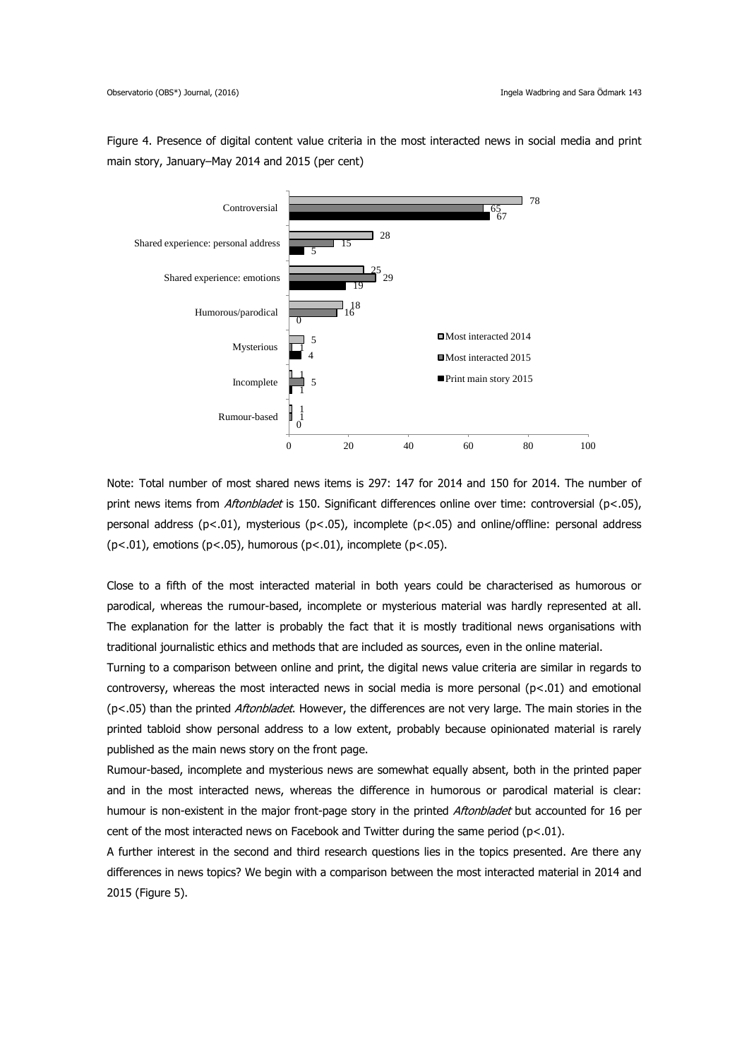Figure 4. Presence of digital content value criteria in the most interacted news in social media and print main story, January–May 2014 and 2015 (per cent)



Note: Total number of most shared news items is 297: 147 for 2014 and 150 for 2014. The number of print news items from *Aftonbladet* is 150. Significant differences online over time: controversial (p<.05), personal address (p<.01), mysterious (p<.05), incomplete (p<.05) and online/offline: personal address  $(p<.01)$ , emotions  $(p<.05)$ , humorous  $(p<.01)$ , incomplete  $(p<.05)$ .

Close to a fifth of the most interacted material in both years could be characterised as humorous or parodical, whereas the rumour-based, incomplete or mysterious material was hardly represented at all. The explanation for the latter is probably the fact that it is mostly traditional news organisations with traditional journalistic ethics and methods that are included as sources, even in the online material.

Turning to a comparison between online and print, the digital news value criteria are similar in regards to controversy, whereas the most interacted news in social media is more personal  $(p<.01)$  and emotional (p<.05) than the printed Aftonbladet. However, the differences are not very large. The main stories in the printed tabloid show personal address to a low extent, probably because opinionated material is rarely published as the main news story on the front page.

Rumour-based, incomplete and mysterious news are somewhat equally absent, both in the printed paper and in the most interacted news, whereas the difference in humorous or parodical material is clear: humour is non-existent in the major front-page story in the printed Aftonbladet but accounted for 16 per cent of the most interacted news on Facebook and Twitter during the same period (p<.01).

A further interest in the second and third research questions lies in the topics presented. Are there any differences in news topics? We begin with a comparison between the most interacted material in 2014 and 2015 (Figure 5).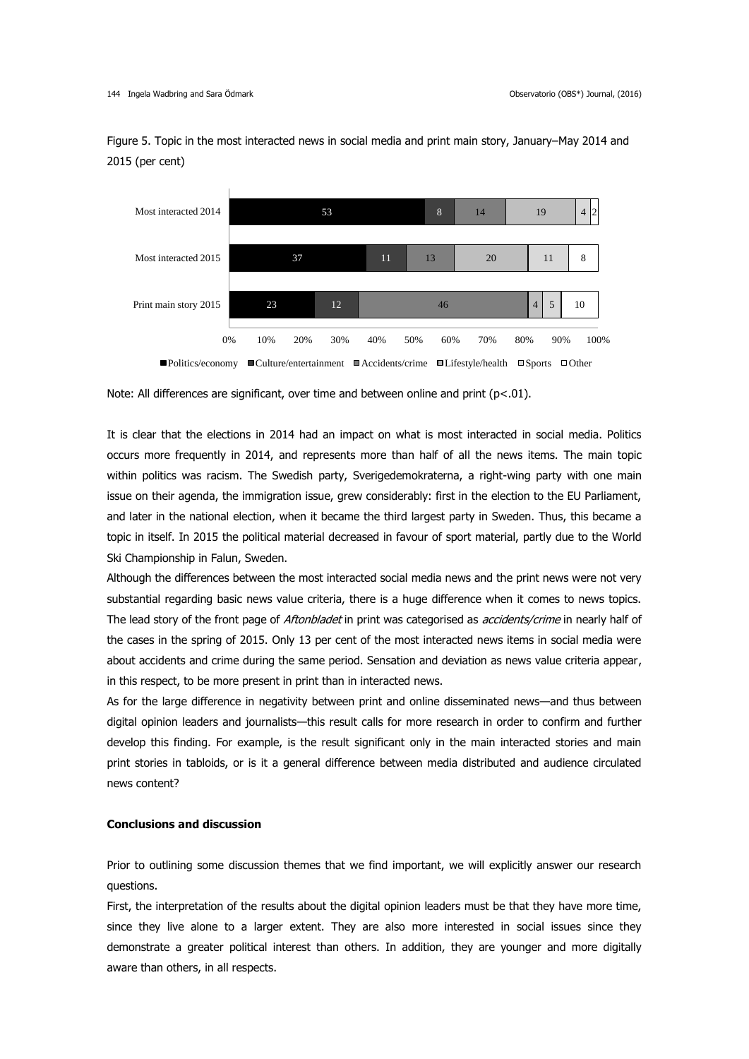Figure 5. Topic in the most interacted news in social media and print main story, January–May 2014 and 2015 (per cent)



It is clear that the elections in 2014 had an impact on what is most interacted in social media. Politics occurs more frequently in 2014, and represents more than half of all the news items. The main topic within politics was racism. The Swedish party, Sverigedemokraterna, a right-wing party with one main issue on their agenda, the immigration issue, grew considerably: first in the election to the EU Parliament, and later in the national election, when it became the third largest party in Sweden. Thus, this became a topic in itself. In 2015 the political material decreased in favour of sport material, partly due to the World Ski Championship in Falun, Sweden.

Although the differences between the most interacted social media news and the print news were not very substantial regarding basic news value criteria, there is a huge difference when it comes to news topics. The lead story of the front page of Aftonbladet in print was categorised as accidents/crime in nearly half of the cases in the spring of 2015. Only 13 per cent of the most interacted news items in social media were about accidents and crime during the same period. Sensation and deviation as news value criteria appear, in this respect, to be more present in print than in interacted news.

As for the large difference in negativity between print and online disseminated news—and thus between digital opinion leaders and journalists—this result calls for more research in order to confirm and further develop this finding. For example, is the result significant only in the main interacted stories and main print stories in tabloids, or is it a general difference between media distributed and audience circulated news content?

## **Conclusions and discussion**

Prior to outlining some discussion themes that we find important, we will explicitly answer our research questions.

First, the interpretation of the results about the digital opinion leaders must be that they have more time, since they live alone to a larger extent. They are also more interested in social issues since they demonstrate a greater political interest than others. In addition, they are younger and more digitally aware than others, in all respects.

Note: All differences are significant, over time and between online and print ( $p<.01$ ).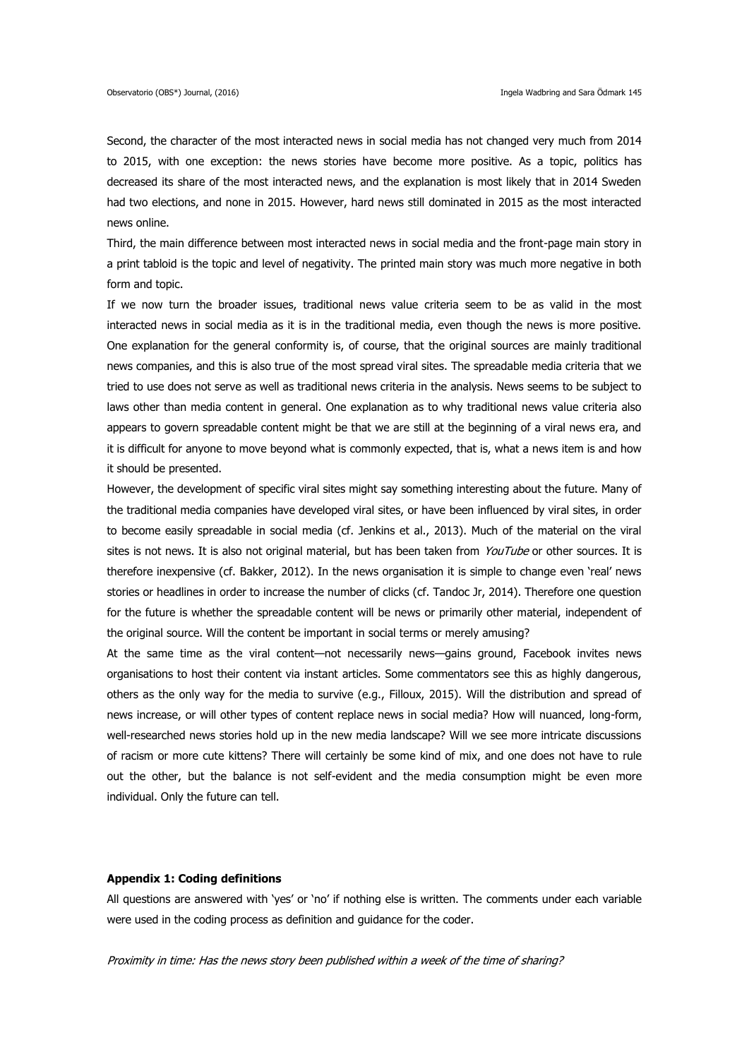Second, the character of the most interacted news in social media has not changed very much from 2014 to 2015, with one exception: the news stories have become more positive. As a topic, politics has decreased its share of the most interacted news, and the explanation is most likely that in 2014 Sweden had two elections, and none in 2015. However, hard news still dominated in 2015 as the most interacted news online.

Third, the main difference between most interacted news in social media and the front-page main story in a print tabloid is the topic and level of negativity. The printed main story was much more negative in both form and topic.

If we now turn the broader issues, traditional news value criteria seem to be as valid in the most interacted news in social media as it is in the traditional media, even though the news is more positive. One explanation for the general conformity is, of course, that the original sources are mainly traditional news companies, and this is also true of the most spread viral sites. The spreadable media criteria that we tried to use does not serve as well as traditional news criteria in the analysis. News seems to be subject to laws other than media content in general. One explanation as to why traditional news value criteria also appears to govern spreadable content might be that we are still at the beginning of a viral news era, and it is difficult for anyone to move beyond what is commonly expected, that is, what a news item is and how it should be presented.

However, the development of specific viral sites might say something interesting about the future. Many of the traditional media companies have developed viral sites, or have been influenced by viral sites, in order to become easily spreadable in social media (cf. Jenkins et al., 2013). Much of the material on the viral sites is not news. It is also not original material, but has been taken from YouTube or other sources. It is therefore inexpensive (cf. Bakker, 2012). In the news organisation it is simple to change even 'real' news stories or headlines in order to increase the number of clicks (cf. Tandoc Jr, 2014). Therefore one question for the future is whether the spreadable content will be news or primarily other material, independent of the original source. Will the content be important in social terms or merely amusing?

At the same time as the viral content—not necessarily news—gains ground, Facebook invites news organisations to host their content via instant articles. Some commentators see this as highly dangerous, others as the only way for the media to survive (e.g., Filloux, 2015). Will the distribution and spread of news increase, or will other types of content replace news in social media? How will nuanced, long-form, well-researched news stories hold up in the new media landscape? Will we see more intricate discussions of racism or more cute kittens? There will certainly be some kind of mix, and one does not have to rule out the other, but the balance is not self-evident and the media consumption might be even more individual. Only the future can tell.

#### **Appendix 1: Coding definitions**

All questions are answered with 'yes' or 'no' if nothing else is written. The comments under each variable were used in the coding process as definition and guidance for the coder.

Proximity in time: Has the news story been published within a week of the time of sharing?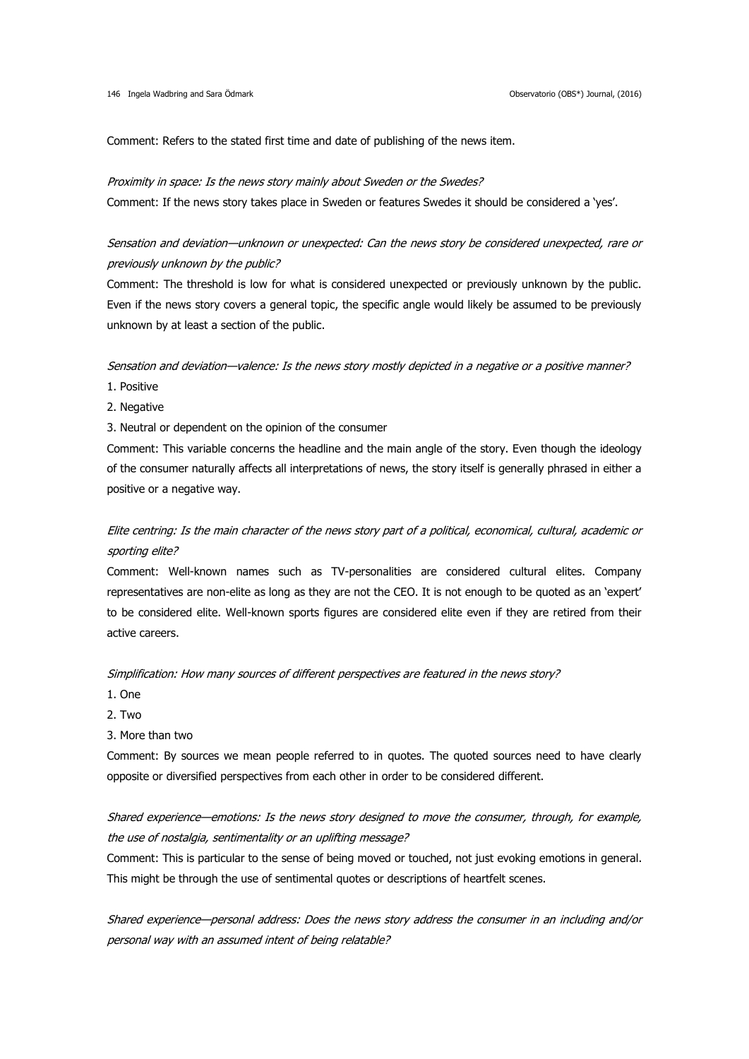Comment: Refers to the stated first time and date of publishing of the news item.

#### Proximity in space: Is the news story mainly about Sweden or the Swedes?

Comment: If the news story takes place in Sweden or features Swedes it should be considered a 'yes'.

# Sensation and deviation—unknown or unexpected: Can the news story be considered unexpected, rare or previously unknown by the public?

Comment: The threshold is low for what is considered unexpected or previously unknown by the public. Even if the news story covers a general topic, the specific angle would likely be assumed to be previously unknown by at least a section of the public.

Sensation and deviation—valence: Is the news story mostly depicted in a negative or a positive manner?

- 1. Positive
- 2. Negative

3. Neutral or dependent on the opinion of the consumer

Comment: This variable concerns the headline and the main angle of the story. Even though the ideology of the consumer naturally affects all interpretations of news, the story itself is generally phrased in either a positive or a negative way.

# Elite centring: Is the main character of the news story part of a political, economical, cultural, academic or sporting elite?

Comment: Well-known names such as TV-personalities are considered cultural elites. Company representatives are non-elite as long as they are not the CEO. It is not enough to be quoted as an 'expert' to be considered elite. Well-known sports figures are considered elite even if they are retired from their active careers.

### Simplification: How many sources of different perspectives are featured in the news story?

- 1. One
- 2. Two
- 3. More than two

Comment: By sources we mean people referred to in quotes. The quoted sources need to have clearly opposite or diversified perspectives from each other in order to be considered different.

# Shared experience—emotions: Is the news story designed to move the consumer, through, for example, the use of nostalgia, sentimentality or an uplifting message?

Comment: This is particular to the sense of being moved or touched, not just evoking emotions in general. This might be through the use of sentimental quotes or descriptions of heartfelt scenes.

Shared experience—personal address: Does the news story address the consumer in an including and/or personal way with an assumed intent of being relatable?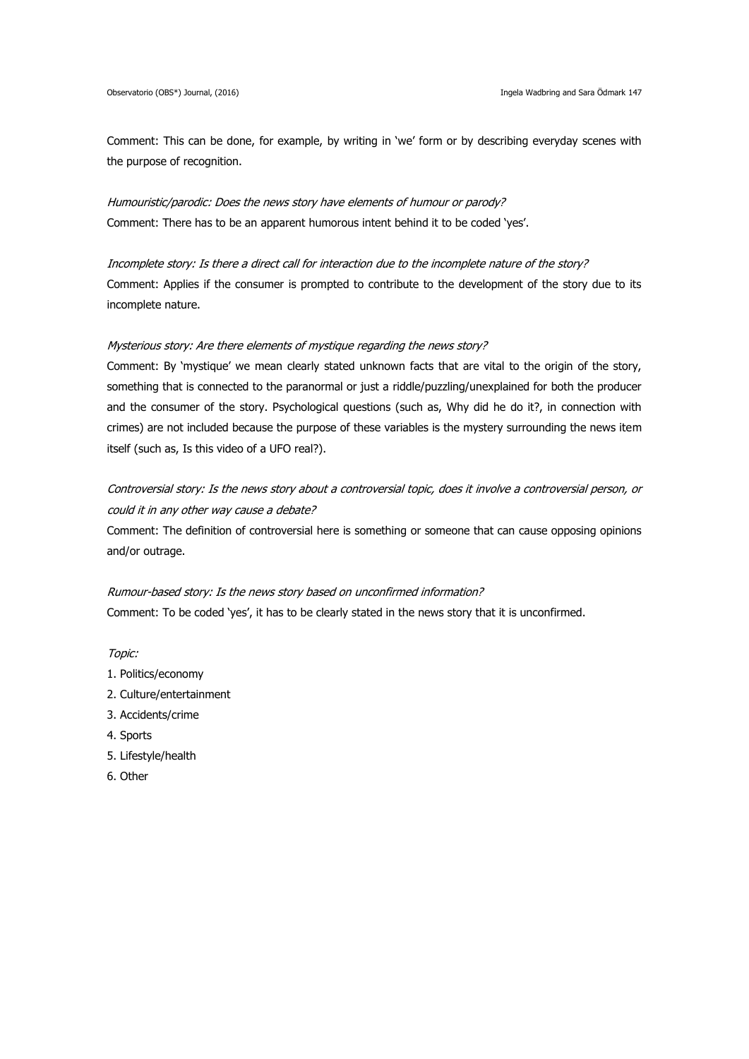Comment: This can be done, for example, by writing in 'we' form or by describing everyday scenes with the purpose of recognition.

Humouristic/parodic: Does the news story have elements of humour or parody? Comment: There has to be an apparent humorous intent behind it to be coded 'yes'.

Incomplete story: Is there a direct call for interaction due to the incomplete nature of the story? Comment: Applies if the consumer is prompted to contribute to the development of the story due to its incomplete nature.

## Mysterious story: Are there elements of mystique regarding the news story?

Comment: By 'mystique' we mean clearly stated unknown facts that are vital to the origin of the story, something that is connected to the paranormal or just a riddle/puzzling/unexplained for both the producer and the consumer of the story. Psychological questions (such as, Why did he do it?, in connection with crimes) are not included because the purpose of these variables is the mystery surrounding the news item itself (such as, Is this video of a UFO real?).

Controversial story: Is the news story about a controversial topic, does it involve a controversial person, or could it in any other way cause a debate?

Comment: The definition of controversial here is something or someone that can cause opposing opinions and/or outrage.

# Rumour-based story: Is the news story based on unconfirmed information?

Comment: To be coded 'yes', it has to be clearly stated in the news story that it is unconfirmed.

Topic:

- 1. Politics/economy
- 2. Culture/entertainment
- 3. Accidents/crime
- 4. Sports
- 5. Lifestyle/health
- 6. Other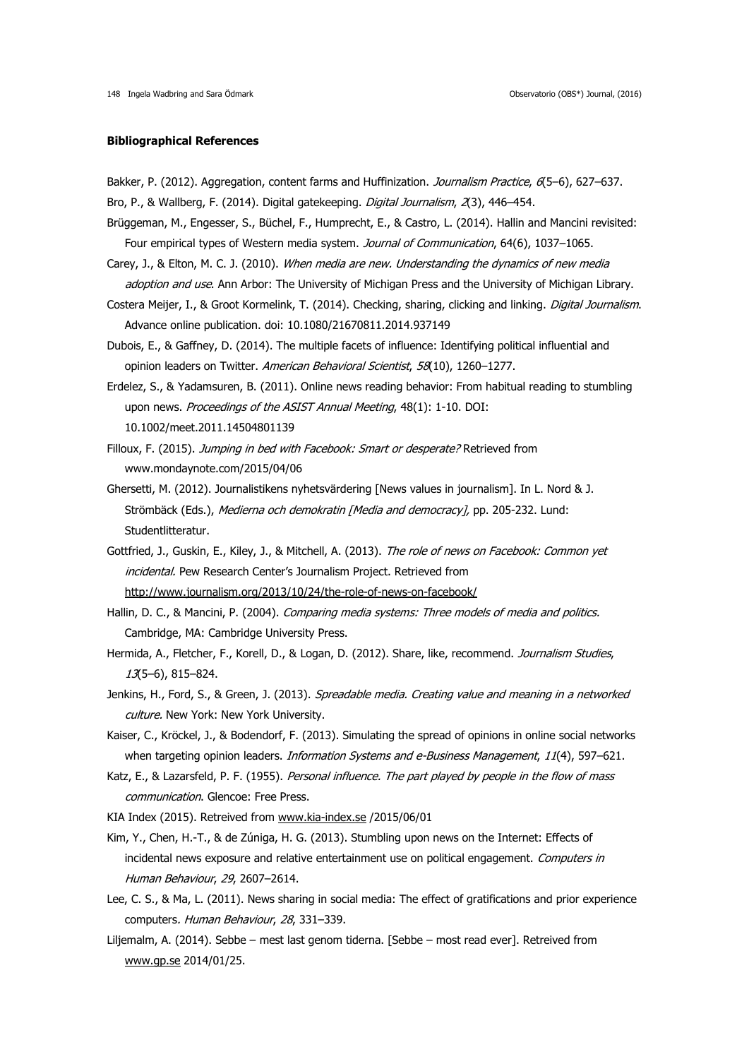#### **Bibliographical References**

- Bakker, P. (2012). Aggregation, content farms and Huffinization. Journalism Practice, 6(5-6), 627-637.
- Bro, P., & Wallberg, F. (2014). Digital gatekeeping. Digital Journalism, 2(3), 446-454.
- Brüggeman, M., Engesser, S., Büchel, F., Humprecht, E., & Castro, L. (2014). Hallin and Mancini revisited: Four empirical types of Western media system. Journal of Communication, 64(6), 1037-1065.
- Carey, J., & Elton, M. C. J. (2010). When media are new. Understanding the dynamics of new media adoption and use. Ann Arbor: The University of Michigan Press and the University of Michigan Library.
- Costera Meijer, I., & Groot Kormelink, T. (2014). Checking, sharing, clicking and linking. Digital Journalism. Advance online publication. doi: 10.1080/21670811.2014.937149
- Dubois, E., & Gaffney, D. (2014). The multiple facets of influence: Identifying political influential and opinion leaders on Twitter. American Behavioral Scientist, 58(10), 1260-1277.
- Erdelez, S., & Yadamsuren, B. (2011). Online news reading behavior: From habitual reading to stumbling upon news. Proceedings of the ASIST Annual Meeting, 48(1): 1-10, DOI: 10.1002/meet.2011.14504801139
- Filloux, F. (2015). Jumping in bed with Facebook: Smart or desperate? Retrieved from [www.mondaynote.com/2015/04/06](http://www.mondaynote.com/2015/04/06)
- Ghersetti, M. (2012). Journalistikens nyhetsvärdering [News values in journalism]. In L. Nord & J. Strömbäck (Eds.), Medierna och demokratin [Media and democracy], pp. 205-232. Lund: Studentlitteratur.
- Gottfried, J., Guskin, E., Kiley, J., & Mitchell, A. (2013). The role of news on Facebook: Common yet incidental. Pew Research Center's Journalism Project. Retrieved from <http://www.journalism.org/2013/10/24/the-role-of-news-on-facebook/>
- Hallin, D. C., & Mancini, P. (2004). Comparing media systems: Three models of media and politics. Cambridge, MA: Cambridge University Press.
- Hermida, A., Fletcher, F., Korell, D., & Logan, D. (2012). Share, like, recommend. Journalism Studies, 13(5–6), 815–824.
- Jenkins, H., Ford, S., & Green, J. (2013). Spreadable media. Creating value and meaning in a networked culture. New York: New York University.
- Kaiser, C., Kröckel, J., & Bodendorf, F. (2013). Simulating the spread of opinions in online social networks when targeting opinion leaders. *Information Systems and e-Business Management, 11*(4), 597–621.
- Katz, E., & Lazarsfeld, P. F. (1955). Personal influence. The part played by people in the flow of mass communication. Glencoe: Free Press.
- KIA Index (2015). Retreived from [www.kia-index.se](http://www.kia-index.se/) /2015/06/01
- Kim, Y., Chen, H.-T., & de Zúniga, H. G. (2013). Stumbling upon news on the Internet: Effects of incidental news exposure and relative entertainment use on political engagement. Computers in Human Behaviour, 29, 2607–2614.
- Lee, C. S., & Ma, L. (2011). News sharing in social media: The effect of gratifications and prior experience computers. Human Behaviour, 28, 331–339.
- Liljemalm, A. (2014). Sebbe mest last genom tiderna. [Sebbe most read ever]. Retreived from [www.gp.se](http://www.gp.se/) 2014/01/25.